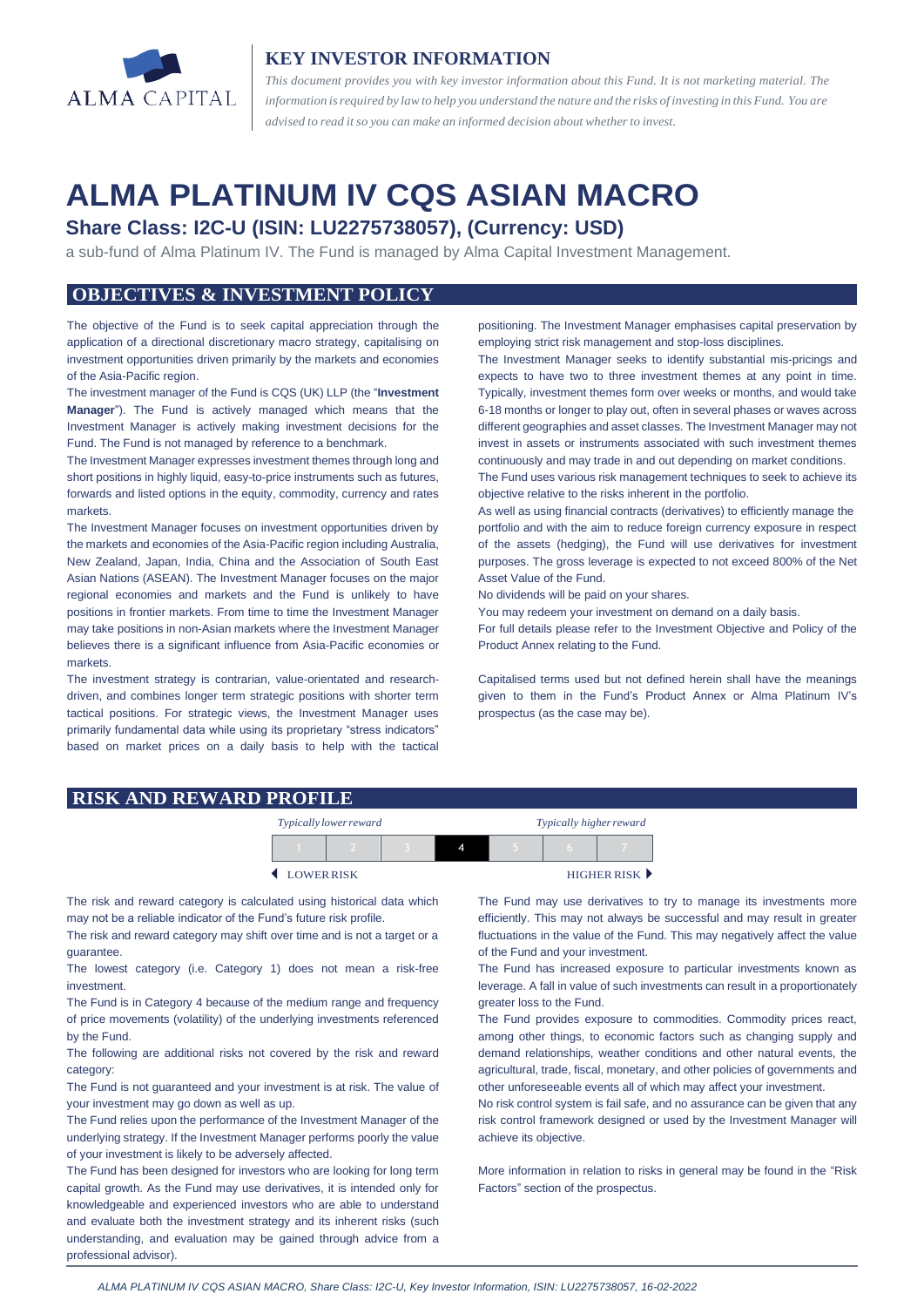

## **KEY INVESTOR INFORMATION**

*This document provides you with key investor information about this Fund. It is not marketing material. The* information is required by law to help you understand the nature and the risks of investing in this Fund. You are *advised to read it so you can make an informed decision about whetherto invest.*

# **ALMA PLATINUM IV CQS ASIAN MACRO**

# **Share Class: I2C-U (ISIN: LU2275738057), (Currency: USD)**

a sub-fund of Alma Platinum IV. The Fund is managed by Alma Capital Investment Management.

## **OBJECTIVES & INVESTMENT POLICY**

The objective of the Fund is to seek capital appreciation through the application of a directional discretionary macro strategy, capitalising on investment opportunities driven primarily by the markets and economies of the Asia-Pacific region.

The investment manager of the Fund is CQS (UK) LLP (the "**Investment Manager**"). The Fund is actively managed which means that the Investment Manager is actively making investment decisions for the Fund. The Fund is not managed by reference to a benchmark.

The Investment Manager expresses investment themes through long and short positions in highly liquid, easy-to-price instruments such as futures, forwards and listed options in the equity, commodity, currency and rates markets.

The Investment Manager focuses on investment opportunities driven by the markets and economies of the Asia-Pacific region including Australia, New Zealand, Japan, India, China and the Association of South East Asian Nations (ASEAN). The Investment Manager focuses on the major regional economies and markets and the Fund is unlikely to have positions in frontier markets. From time to time the Investment Manager may take positions in non-Asian markets where the Investment Manager believes there is a significant influence from Asia-Pacific economies or markets.

The investment strategy is contrarian, value-orientated and researchdriven, and combines longer term strategic positions with shorter term tactical positions. For strategic views, the Investment Manager uses primarily fundamental data while using its proprietary "stress indicators" based on market prices on a daily basis to help with the tactical positioning. The Investment Manager emphasises capital preservation by employing strict risk management and stop-loss disciplines.

The Investment Manager seeks to identify substantial mis-pricings and expects to have two to three investment themes at any point in time. Typically, investment themes form over weeks or months, and would take 6-18 months or longer to play out, often in several phases or waves across different geographies and asset classes. The Investment Manager may not invest in assets or instruments associated with such investment themes continuously and may trade in and out depending on market conditions.

The Fund uses various risk management techniques to seek to achieve its objective relative to the risks inherent in the portfolio.

As well as using financial contracts (derivatives) to efficiently manage the portfolio and with the aim to reduce foreign currency exposure in respect of the assets (hedging), the Fund will use derivatives for investment purposes. The gross leverage is expected to not exceed 800% of the Net Asset Value of the Fund.

No dividends will be paid on your shares.

You may redeem your investment on demand on a daily basis.

For full details please refer to the Investment Objective and Policy of the Product Annex relating to the Fund.

Capitalised terms used but not defined herein shall have the meanings given to them in the Fund's Product Annex or Alma Platinum IV's prospectus (as the case may be).

#### **RISK AND REWARD PROFILE**

| Typically lower reward |  |  |  | Typically higher reward |  |             |
|------------------------|--|--|--|-------------------------|--|-------------|
|                        |  |  |  |                         |  |             |
| LOWERRISK              |  |  |  |                         |  | HIGHER RISK |

The risk and reward category is calculated using historical data which may not be a reliable indicator of the Fund's future risk profile.

The risk and reward category may shift over time and is not a target or a guarantee.

The lowest category (i.e. Category 1) does not mean a risk-free investment.

The Fund is in Category 4 because of the medium range and frequency of price movements (volatility) of the underlying investments referenced by the Fund.

The following are additional risks not covered by the risk and reward category:

The Fund is not guaranteed and your investment is at risk. The value of your investment may go down as well as up.

The Fund relies upon the performance of the Investment Manager of the underlying strategy. If the Investment Manager performs poorly the value of your investment is likely to be adversely affected.

The Fund has been designed for investors who are looking for long term capital growth. As the Fund may use derivatives, it is intended only for knowledgeable and experienced investors who are able to understand and evaluate both the investment strategy and its inherent risks (such understanding, and evaluation may be gained through advice from a professional advisor).

The Fund may use derivatives to try to manage its investments more efficiently. This may not always be successful and may result in greater fluctuations in the value of the Fund. This may negatively affect the value of the Fund and your investment.

The Fund has increased exposure to particular investments known as leverage. A fall in value of such investments can result in a proportionately greater loss to the Fund.

The Fund provides exposure to commodities. Commodity prices react, among other things, to economic factors such as changing supply and demand relationships, weather conditions and other natural events, the agricultural, trade, fiscal, monetary, and other policies of governments and other unforeseeable events all of which may affect your investment.

No risk control system is fail safe, and no assurance can be given that any risk control framework designed or used by the Investment Manager will achieve its objective.

More information in relation to risks in general may be found in the "Risk Factors" section of the prospectus.